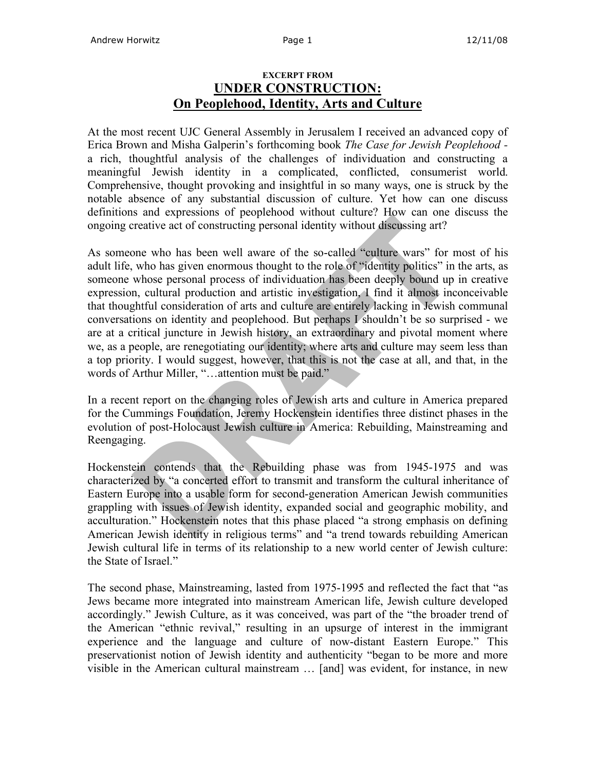## **EXCERPT FROM UNDER CONSTRUCTION: On Peoplehood, Identity, Arts and Culture**

At the most recent UJC General Assembly in Jerusalem I received an advanced copy of Erica Brown and Misha Galperin's forthcoming book *The Case for Jewish Peoplehood*  a rich, thoughtful analysis of the challenges of individuation and constructing a meaningful Jewish identity in a complicated, conflicted, consumerist world. Comprehensive, thought provoking and insightful in so many ways, one is struck by the notable absence of any substantial discussion of culture. Yet how can one discuss definitions and expressions of peoplehood without culture? How can one discuss the ongoing creative act of constructing personal identity without discussing art?

As someone who has been well aware of the so-called "culture wars" for most of his adult life, who has given enormous thought to the role of "identity politics" in the arts, as someone whose personal process of individuation has been deeply bound up in creative expression, cultural production and artistic investigation, I find it almost inconceivable that thoughtful consideration of arts and culture are entirely lacking in Jewish communal conversations on identity and peoplehood. But perhaps I shouldn't be so surprised - we are at a critical juncture in Jewish history, an extraordinary and pivotal moment where we, as a people, are renegotiating our identity; where arts and culture may seem less than a top priority. I would suggest, however, that this is not the case at all, and that, in the words of Arthur Miller, "…attention must be paid."

In a recent report on the changing roles of Jewish arts and culture in America prepared for the Cummings Foundation, Jeremy Hockenstein identifies three distinct phases in the evolution of post-Holocaust Jewish culture in America: Rebuilding, Mainstreaming and Reengaging.

Hockenstein contends that the Rebuilding phase was from 1945-1975 and was characterized by "a concerted effort to transmit and transform the cultural inheritance of Eastern Europe into a usable form for second-generation American Jewish communities grappling with issues of Jewish identity, expanded social and geographic mobility, and acculturation." Hockenstein notes that this phase placed "a strong emphasis on defining American Jewish identity in religious terms" and "a trend towards rebuilding American Jewish cultural life in terms of its relationship to a new world center of Jewish culture: the State of Israel."

The second phase, Mainstreaming, lasted from 1975-1995 and reflected the fact that "as Jews became more integrated into mainstream American life, Jewish culture developed accordingly." Jewish Culture, as it was conceived, was part of the "the broader trend of the American "ethnic revival," resulting in an upsurge of interest in the immigrant experience and the language and culture of now-distant Eastern Europe." This preservationist notion of Jewish identity and authenticity "began to be more and more visible in the American cultural mainstream … [and] was evident, for instance, in new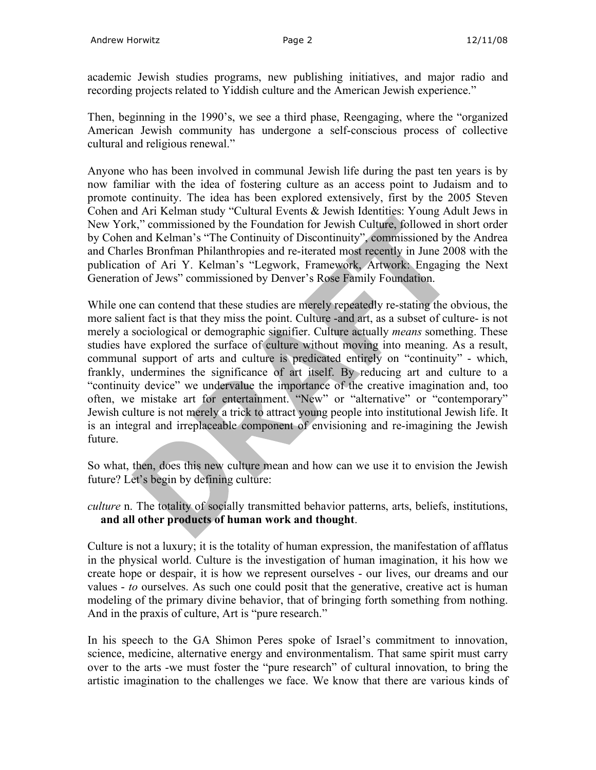academic Jewish studies programs, new publishing initiatives, and major radio and recording projects related to Yiddish culture and the American Jewish experience."

Then, beginning in the 1990's, we see a third phase, Reengaging, where the "organized American Jewish community has undergone a self-conscious process of collective cultural and religious renewal."

Anyone who has been involved in communal Jewish life during the past ten years is by now familiar with the idea of fostering culture as an access point to Judaism and to promote continuity. The idea has been explored extensively, first by the 2005 Steven Cohen and Ari Kelman study "Cultural Events & Jewish Identities: Young Adult Jews in New York," commissioned by the Foundation for Jewish Culture, followed in short order by Cohen and Kelman's "The Continuity of Discontinuity", commissioned by the Andrea and Charles Bronfman Philanthropies and re-iterated most recently in June 2008 with the publication of Ari Y. Kelman's "Legwork, Framework, Artwork: Engaging the Next Generation of Jews" commissioned by Denver's Rose Family Foundation.

While one can contend that these studies are merely repeatedly re-stating the obvious, the more salient fact is that they miss the point. Culture -and art, as a subset of culture- is not merely a sociological or demographic signifier. Culture actually *means* something. These studies have explored the surface of culture without moving into meaning. As a result, communal support of arts and culture is predicated entirely on "continuity" - which, frankly, undermines the significance of art itself. By reducing art and culture to a "continuity device" we undervalue the importance of the creative imagination and, too often, we mistake art for entertainment. "New" or "alternative" or "contemporary" Jewish culture is not merely a trick to attract young people into institutional Jewish life. It is an integral and irreplaceable component of envisioning and re-imagining the Jewish future.

So what, then, does this new culture mean and how can we use it to envision the Jewish future? Let's begin by defining culture:

*culture* n. The totality of socially transmitted behavior patterns, arts, beliefs, institutions, **and all other products of human work and thought**.

Culture is not a luxury; it is the totality of human expression, the manifestation of afflatus in the physical world. Culture is the investigation of human imagination, it his how we create hope or despair, it is how we represent ourselves - our lives, our dreams and our values - *to* ourselves. As such one could posit that the generative, creative act is human modeling of the primary divine behavior, that of bringing forth something from nothing. And in the praxis of culture, Art is "pure research."

In his speech to the GA Shimon Peres spoke of Israel's commitment to innovation, science, medicine, alternative energy and environmentalism. That same spirit must carry over to the arts -we must foster the "pure research" of cultural innovation, to bring the artistic imagination to the challenges we face. We know that there are various kinds of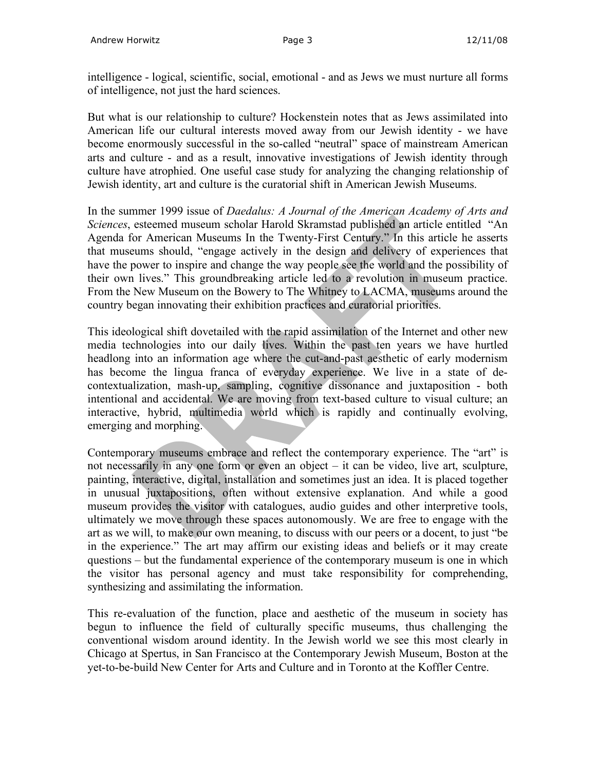intelligence - logical, scientific, social, emotional - and as Jews we must nurture all forms of intelligence, not just the hard sciences.

But what is our relationship to culture? Hockenstein notes that as Jews assimilated into American life our cultural interests moved away from our Jewish identity - we have become enormously successful in the so-called "neutral" space of mainstream American arts and culture - and as a result, innovative investigations of Jewish identity through culture have atrophied. One useful case study for analyzing the changing relationship of Jewish identity, art and culture is the curatorial shift in American Jewish Museums.

In the summer 1999 issue of *Daedalus: A Journal of the American Academy of Arts and Sciences*, esteemed museum scholar Harold Skramstad published an article entitled "An Agenda for American Museums In the Twenty-First Century." In this article he asserts that museums should, "engage actively in the design and delivery of experiences that have the power to inspire and change the way people see the world and the possibility of their own lives." This groundbreaking article led to a revolution in museum practice. From the New Museum on the Bowery to The Whitney to LACMA, museums around the country began innovating their exhibition practices and curatorial priorities.

This ideological shift dovetailed with the rapid assimilation of the Internet and other new media technologies into our daily lives. Within the past ten years we have hurtled headlong into an information age where the cut-and-past aesthetic of early modernism has become the lingua franca of everyday experience. We live in a state of decontextualization, mash-up, sampling, cognitive dissonance and juxtaposition - both intentional and accidental. We are moving from text-based culture to visual culture; an interactive, hybrid, multimedia world which is rapidly and continually evolving, emerging and morphing.

Contemporary museums embrace and reflect the contemporary experience. The "art" is not necessarily in any one form or even an object – it can be video, live art, sculpture, painting, interactive, digital, installation and sometimes just an idea. It is placed together in unusual juxtapositions, often without extensive explanation. And while a good museum provides the visitor with catalogues, audio guides and other interpretive tools, ultimately we move through these spaces autonomously. We are free to engage with the art as we will, to make our own meaning, to discuss with our peers or a docent, to just "be in the experience." The art may affirm our existing ideas and beliefs or it may create questions – but the fundamental experience of the contemporary museum is one in which the visitor has personal agency and must take responsibility for comprehending, synthesizing and assimilating the information.

This re-evaluation of the function, place and aesthetic of the museum in society has begun to influence the field of culturally specific museums, thus challenging the conventional wisdom around identity. In the Jewish world we see this most clearly in Chicago at Spertus, in San Francisco at the Contemporary Jewish Museum, Boston at the yet-to-be-build New Center for Arts and Culture and in Toronto at the Koffler Centre.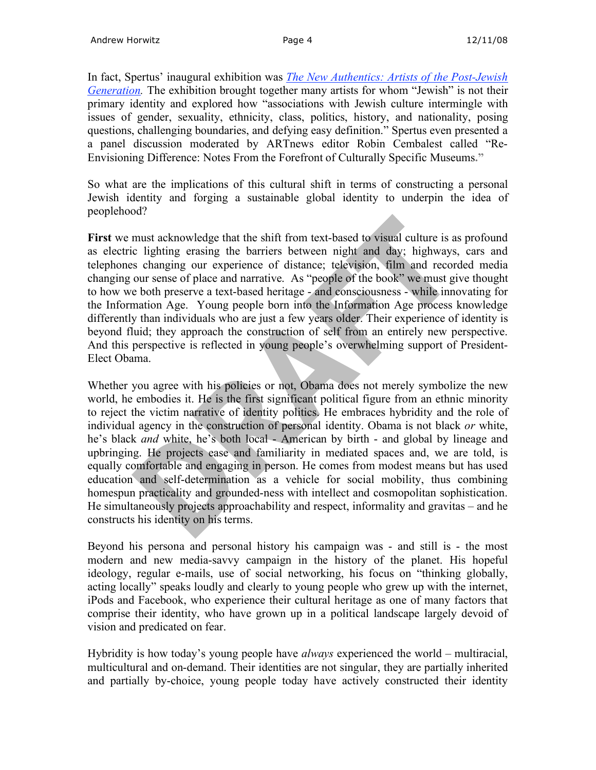In fact, Spertus' inaugural exhibition was *The New Authentics: Artists of the Post-Jewish Generation.* The exhibition brought together many artists for whom "Jewish" is not their primary identity and explored how "associations with Jewish culture intermingle with issues of gender, sexuality, ethnicity, class, politics, history, and nationality, posing questions, challenging boundaries, and defying easy definition." Spertus even presented a a panel discussion moderated by ARTnews editor Robin Cembalest called "Re-Envisioning Difference: Notes From the Forefront of Culturally Specific Museums**."**

So what are the implications of this cultural shift in terms of constructing a personal Jewish identity and forging a sustainable global identity to underpin the idea of peoplehood?

**First** we must acknowledge that the shift from text-based to visual culture is as profound as electric lighting erasing the barriers between night and day; highways, cars and telephones changing our experience of distance; television, film and recorded media changing our sense of place and narrative. As "people of the book" we must give thought to how we both preserve a text-based heritage - and consciousness - while innovating for the Information Age. Young people born into the Information Age process knowledge differently than individuals who are just a few years older. Their experience of identity is beyond fluid; they approach the construction of self from an entirely new perspective. And this perspective is reflected in young people's overwhelming support of President-Elect Obama.

Whether you agree with his policies or not, Obama does not merely symbolize the new world, he embodies it. He is the first significant political figure from an ethnic minority to reject the victim narrative of identity politics. He embraces hybridity and the role of individual agency in the construction of personal identity. Obama is not black *or* white, he's black *and* white, he's both local - American by birth - and global by lineage and upbringing. He projects ease and familiarity in mediated spaces and, we are told, is equally comfortable and engaging in person. He comes from modest means but has used education and self-determination as a vehicle for social mobility, thus combining homespun practicality and grounded-ness with intellect and cosmopolitan sophistication. He simultaneously projects approachability and respect, informality and gravitas – and he constructs his identity on his terms.

Beyond his persona and personal history his campaign was - and still is - the most modern and new media-savvy campaign in the history of the planet. His hopeful ideology, regular e-mails, use of social networking, his focus on "thinking globally, acting locally" speaks loudly and clearly to young people who grew up with the internet, iPods and Facebook, who experience their cultural heritage as one of many factors that comprise their identity, who have grown up in a political landscape largely devoid of vision and predicated on fear.

Hybridity is how today's young people have *always* experienced the world – multiracial, multicultural and on-demand. Their identities are not singular, they are partially inherited and partially by-choice, young people today have actively constructed their identity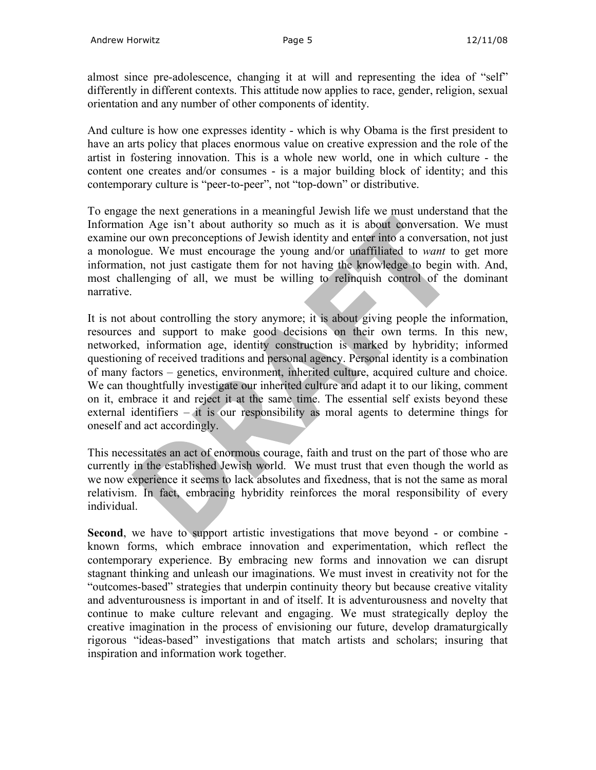almost since pre-adolescence, changing it at will and representing the idea of "self" differently in different contexts. This attitude now applies to race, gender, religion, sexual orientation and any number of other components of identity.

And culture is how one expresses identity - which is why Obama is the first president to have an arts policy that places enormous value on creative expression and the role of the artist in fostering innovation. This is a whole new world, one in which culture - the content one creates and/or consumes - is a major building block of identity; and this contemporary culture is "peer-to-peer", not "top-down" or distributive.

To engage the next generations in a meaningful Jewish life we must understand that the Information Age isn't about authority so much as it is about conversation. We must examine our own preconceptions of Jewish identity and enter into a conversation, not just a monologue. We must encourage the young and/or unaffiliated to *want* to get more information, not just castigate them for not having the knowledge to begin with. And, most challenging of all, we must be willing to relinquish control of the dominant narrative.

It is not about controlling the story anymore; it is about giving people the information, resources and support to make good decisions on their own terms. In this new, networked, information age, identity construction is marked by hybridity; informed questioning of received traditions and personal agency. Personal identity is a combination of many factors – genetics, environment, inherited culture, acquired culture and choice. We can thoughtfully investigate our inherited culture and adapt it to our liking, comment on it, embrace it and reject it at the same time. The essential self exists beyond these external identifiers – it is our responsibility as moral agents to determine things for oneself and act accordingly.

This necessitates an act of enormous courage, faith and trust on the part of those who are currently in the established Jewish world. We must trust that even though the world as we now experience it seems to lack absolutes and fixedness, that is not the same as moral relativism. In fact, embracing hybridity reinforces the moral responsibility of every individual.

**Second**, we have to support artistic investigations that move beyond - or combine known forms, which embrace innovation and experimentation, which reflect the contemporary experience. By embracing new forms and innovation we can disrupt stagnant thinking and unleash our imaginations. We must invest in creativity not for the "outcomes-based" strategies that underpin continuity theory but because creative vitality and adventurousness is important in and of itself. It is adventurousness and novelty that continue to make culture relevant and engaging. We must strategically deploy the creative imagination in the process of envisioning our future, develop dramaturgically rigorous "ideas-based" investigations that match artists and scholars; insuring that inspiration and information work together.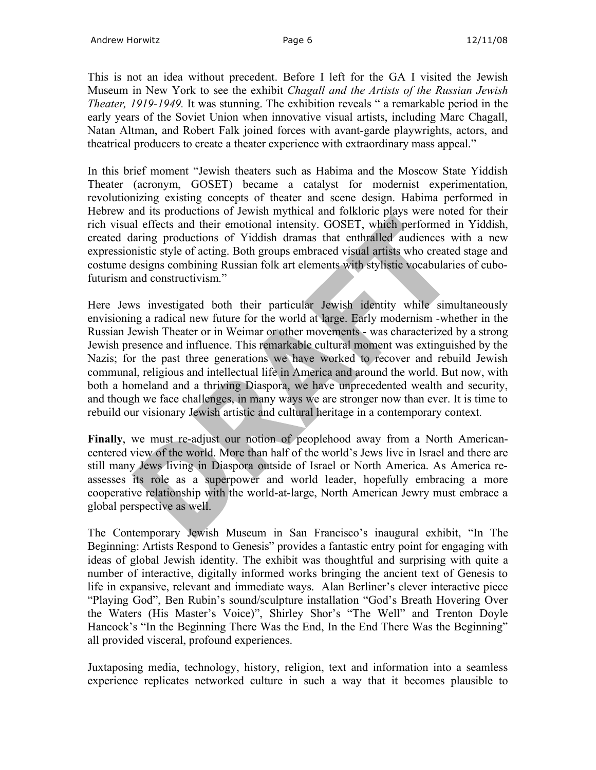This is not an idea without precedent. Before I left for the GA I visited the Jewish Museum in New York to see the exhibit *Chagall and the Artists of the Russian Jewish Theater, 1919-1949.* It was stunning. The exhibition reveals " a remarkable period in the early years of the Soviet Union when innovative visual artists, including Marc Chagall, Natan Altman, and Robert Falk joined forces with avant-garde playwrights, actors, and theatrical producers to create a theater experience with extraordinary mass appeal."

In this brief moment "Jewish theaters such as Habima and the Moscow State Yiddish Theater (acronym, GOSET) became a catalyst for modernist experimentation, revolutionizing existing concepts of theater and scene design. Habima performed in Hebrew and its productions of Jewish mythical and folkloric plays were noted for their rich visual effects and their emotional intensity. GOSET, which performed in Yiddish, created daring productions of Yiddish dramas that enthralled audiences with a new expressionistic style of acting. Both groups embraced visual artists who created stage and costume designs combining Russian folk art elements with stylistic vocabularies of cubofuturism and constructivism."

Here Jews investigated both their particular Jewish identity while simultaneously envisioning a radical new future for the world at large. Early modernism -whether in the Russian Jewish Theater or in Weimar or other movements - was characterized by a strong Jewish presence and influence. This remarkable cultural moment was extinguished by the Nazis; for the past three generations we have worked to recover and rebuild Jewish communal, religious and intellectual life in America and around the world. But now, with both a homeland and a thriving Diaspora, we have unprecedented wealth and security, and though we face challenges, in many ways we are stronger now than ever. It is time to rebuild our visionary Jewish artistic and cultural heritage in a contemporary context.

**Finally**, we must re-adjust our notion of peoplehood away from a North Americancentered view of the world. More than half of the world's Jews live in Israel and there are still many Jews living in Diaspora outside of Israel or North America. As America reassesses its role as a superpower and world leader, hopefully embracing a more cooperative relationship with the world-at-large, North American Jewry must embrace a global perspective as well.

The Contemporary Jewish Museum in San Francisco's inaugural exhibit, "In The Beginning: Artists Respond to Genesis" provides a fantastic entry point for engaging with ideas of global Jewish identity. The exhibit was thoughtful and surprising with quite a number of interactive, digitally informed works bringing the ancient text of Genesis to life in expansive, relevant and immediate ways. Alan Berliner's clever interactive piece "Playing God", Ben Rubin's sound/sculpture installation "God's Breath Hovering Over the Waters (His Master's Voice)", Shirley Shor's "The Well" and Trenton Doyle Hancock's "In the Beginning There Was the End, In the End There Was the Beginning" all provided visceral, profound experiences.

Juxtaposing media, technology, history, religion, text and information into a seamless experience replicates networked culture in such a way that it becomes plausible to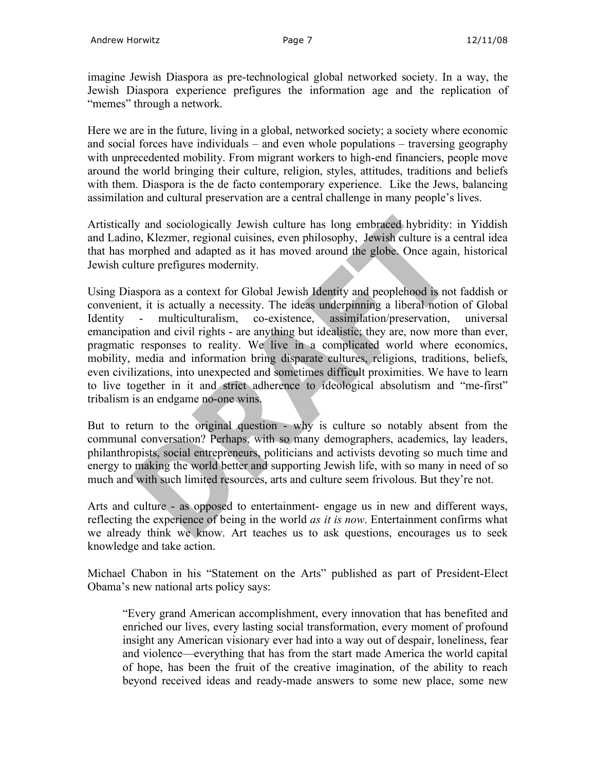imagine Jewish Diaspora as pre-technological global networked society. In a way, the Jewish Diaspora experience prefigures the information age and the replication of "memes" through a network.

Here we are in the future, living in a global, networked society; a society where economic and social forces have individuals – and even whole populations – traversing geography with unprecedented mobility. From migrant workers to high-end financiers, people move around the world bringing their culture, religion, styles, attitudes, traditions and beliefs with them. Diaspora is the de facto contemporary experience. Like the Jews, balancing assimilation and cultural preservation are a central challenge in many people's lives.

Artistically and sociologically Jewish culture has long embraced hybridity: in Yiddish and Ladino, Klezmer, regional cuisines, even philosophy, Jewish culture is a central idea that has morphed and adapted as it has moved around the globe. Once again, historical Jewish culture prefigures modernity.

Using Diaspora as a context for Global Jewish Identity and peoplehood is not faddish or convenient, it is actually a necessity. The ideas underpinning a liberal notion of Global Identity - multiculturalism, co-existence, assimilation/preservation, universal emancipation and civil rights - are anything but idealistic; they are, now more than ever, pragmatic responses to reality. We live in a complicated world where economics, mobility, media and information bring disparate cultures, religions, traditions, beliefs, even civilizations, into unexpected and sometimes difficult proximities. We have to learn to live together in it and strict adherence to ideological absolutism and "me-first" tribalism is an endgame no-one wins.

But to return to the original question - why is culture so notably absent from the communal conversation? Perhaps, with so many demographers, academics, lay leaders, philanthropists, social entrepreneurs, politicians and activists devoting so much time and energy to making the world better and supporting Jewish life, with so many in need of so much and with such limited resources, arts and culture seem frivolous. But they're not.

Arts and culture - as opposed to entertainment- engage us in new and different ways, reflecting the experience of being in the world *as it is now*. Entertainment confirms what we already think we know. Art teaches us to ask questions, encourages us to seek knowledge and take action.

Michael Chabon in his "Statement on the Arts" published as part of President-Elect Obama's new national arts policy says:

"Every grand American accomplishment, every innovation that has benefited and enriched our lives, every lasting social transformation, every moment of profound insight any American visionary ever had into a way out of despair, loneliness, fear and violence—everything that has from the start made America the world capital of hope, has been the fruit of the creative imagination, of the ability to reach beyond received ideas and ready-made answers to some new place, some new